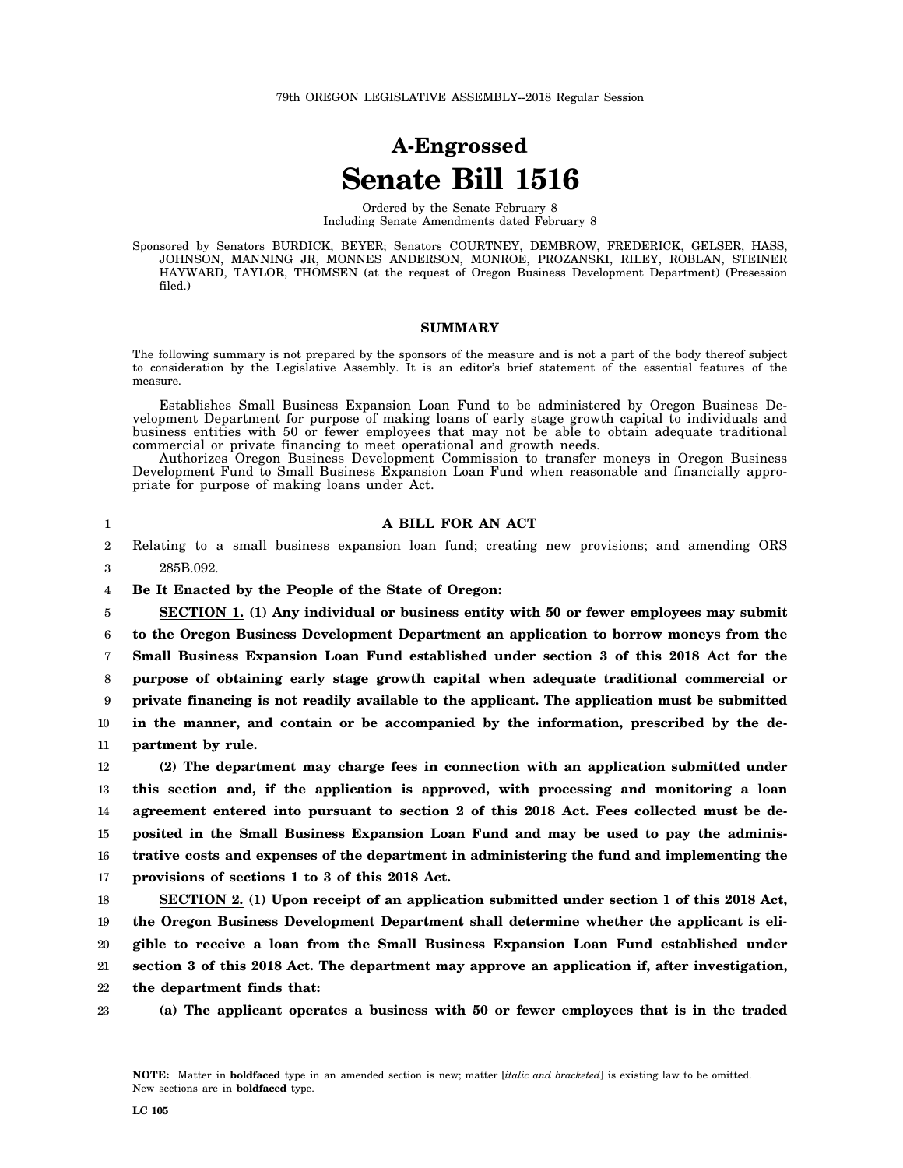# **A-Engrossed Senate Bill 1516**

Ordered by the Senate February 8 Including Senate Amendments dated February 8

Sponsored by Senators BURDICK, BEYER; Senators COURTNEY, DEMBROW, FREDERICK, GELSER, HASS, JOHNSON, MANNING JR, MONNES ANDERSON, MONROE, PROZANSKI, RILEY, ROBLAN, STEINER HAYWARD, TAYLOR, THOMSEN (at the request of Oregon Business Development Department) (Presession filed.)

### **SUMMARY**

The following summary is not prepared by the sponsors of the measure and is not a part of the body thereof subject to consideration by the Legislative Assembly. It is an editor's brief statement of the essential features of the measure.

Establishes Small Business Expansion Loan Fund to be administered by Oregon Business Development Department for purpose of making loans of early stage growth capital to individuals and business entities with 50 or fewer employees that may not be able to obtain adequate traditional commercial or private financing to meet operational and growth needs.

Authorizes Oregon Business Development Commission to transfer moneys in Oregon Business Development Fund to Small Business Expansion Loan Fund when reasonable and financially appropriate for purpose of making loans under Act.

1

#### **A BILL FOR AN ACT**

2 3 Relating to a small business expansion loan fund; creating new provisions; and amending ORS 285B.092.

4 **Be It Enacted by the People of the State of Oregon:**

5 6 7 8 9 10 11 **SECTION 1. (1) Any individual or business entity with 50 or fewer employees may submit to the Oregon Business Development Department an application to borrow moneys from the Small Business Expansion Loan Fund established under section 3 of this 2018 Act for the purpose of obtaining early stage growth capital when adequate traditional commercial or private financing is not readily available to the applicant. The application must be submitted in the manner, and contain or be accompanied by the information, prescribed by the department by rule.**

12 13 14 15 16 17 **(2) The department may charge fees in connection with an application submitted under this section and, if the application is approved, with processing and monitoring a loan agreement entered into pursuant to section 2 of this 2018 Act. Fees collected must be deposited in the Small Business Expansion Loan Fund and may be used to pay the administrative costs and expenses of the department in administering the fund and implementing the provisions of sections 1 to 3 of this 2018 Act.**

18 19 20 21 **SECTION 2. (1) Upon receipt of an application submitted under section 1 of this 2018 Act, the Oregon Business Development Department shall determine whether the applicant is eligible to receive a loan from the Small Business Expansion Loan Fund established under section 3 of this 2018 Act. The department may approve an application if, after investigation,**

22 **the department finds that:**

23

**(a) The applicant operates a business with 50 or fewer employees that is in the traded**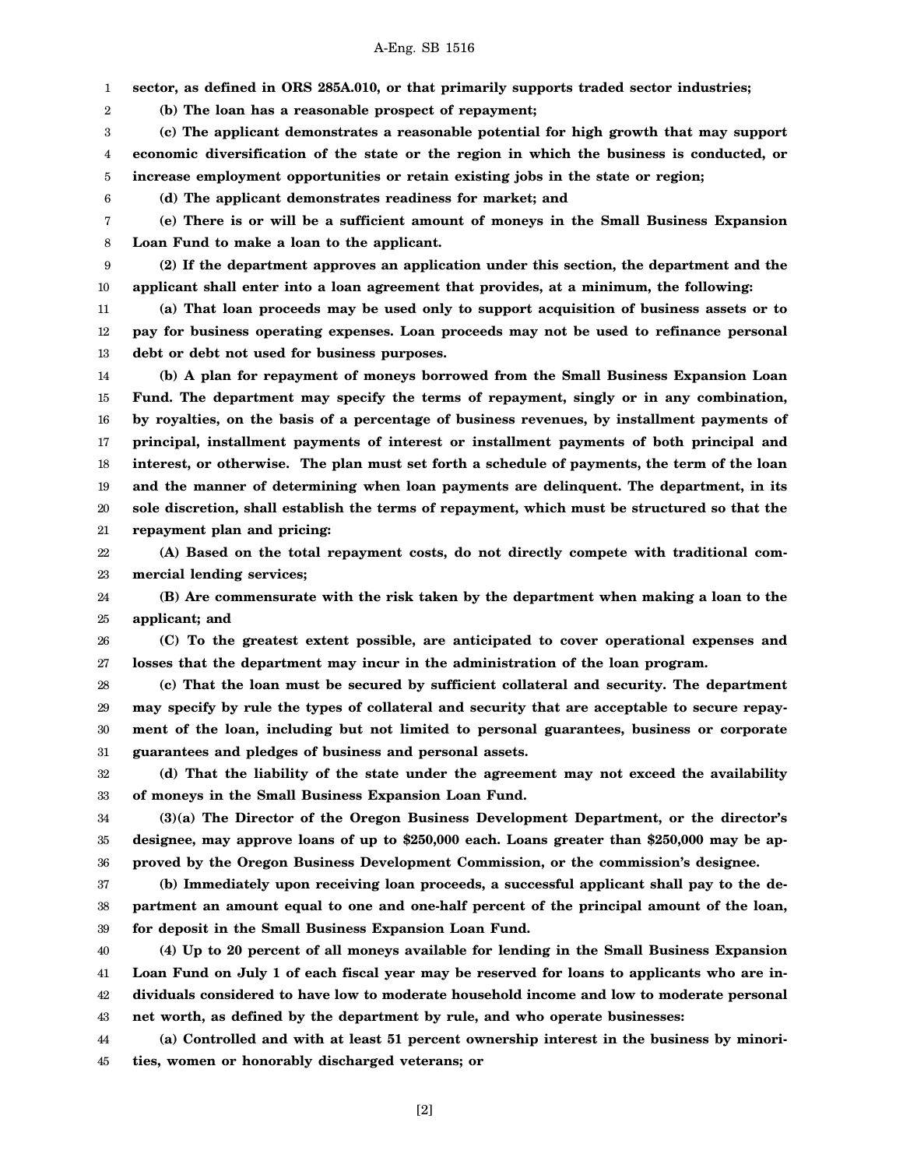# A-Eng. SB 1516

1 **sector, as defined in ORS 285A.010, or that primarily supports traded sector industries;**

**(b) The loan has a reasonable prospect of repayment;**

2

6

3 4 5 **(c) The applicant demonstrates a reasonable potential for high growth that may support economic diversification of the state or the region in which the business is conducted, or increase employment opportunities or retain existing jobs in the state or region;**

**(d) The applicant demonstrates readiness for market; and**

7 8 **(e) There is or will be a sufficient amount of moneys in the Small Business Expansion Loan Fund to make a loan to the applicant.**

9 10 **(2) If the department approves an application under this section, the department and the applicant shall enter into a loan agreement that provides, at a minimum, the following:**

11 12 13 **(a) That loan proceeds may be used only to support acquisition of business assets or to pay for business operating expenses. Loan proceeds may not be used to refinance personal debt or debt not used for business purposes.**

14 15 16 17 18 19 20 21 **(b) A plan for repayment of moneys borrowed from the Small Business Expansion Loan Fund. The department may specify the terms of repayment, singly or in any combination, by royalties, on the basis of a percentage of business revenues, by installment payments of principal, installment payments of interest or installment payments of both principal and interest, or otherwise. The plan must set forth a schedule of payments, the term of the loan and the manner of determining when loan payments are delinquent. The department, in its sole discretion, shall establish the terms of repayment, which must be structured so that the repayment plan and pricing:**

22 23 **(A) Based on the total repayment costs, do not directly compete with traditional commercial lending services;**

24 25 **(B) Are commensurate with the risk taken by the department when making a loan to the applicant; and**

26 27 **(C) To the greatest extent possible, are anticipated to cover operational expenses and losses that the department may incur in the administration of the loan program.**

28 29 30 31 **(c) That the loan must be secured by sufficient collateral and security. The department may specify by rule the types of collateral and security that are acceptable to secure repayment of the loan, including but not limited to personal guarantees, business or corporate guarantees and pledges of business and personal assets.**

32 33 **(d) That the liability of the state under the agreement may not exceed the availability of moneys in the Small Business Expansion Loan Fund.**

34 35 36 **(3)(a) The Director of the Oregon Business Development Department, or the director's designee, may approve loans of up to \$250,000 each. Loans greater than \$250,000 may be approved by the Oregon Business Development Commission, or the commission's designee.**

37 38 39 **(b) Immediately upon receiving loan proceeds, a successful applicant shall pay to the department an amount equal to one and one-half percent of the principal amount of the loan, for deposit in the Small Business Expansion Loan Fund.**

40 41 42 43 **(4) Up to 20 percent of all moneys available for lending in the Small Business Expansion Loan Fund on July 1 of each fiscal year may be reserved for loans to applicants who are individuals considered to have low to moderate household income and low to moderate personal net worth, as defined by the department by rule, and who operate businesses:**

44 45 **(a) Controlled and with at least 51 percent ownership interest in the business by minorities, women or honorably discharged veterans; or**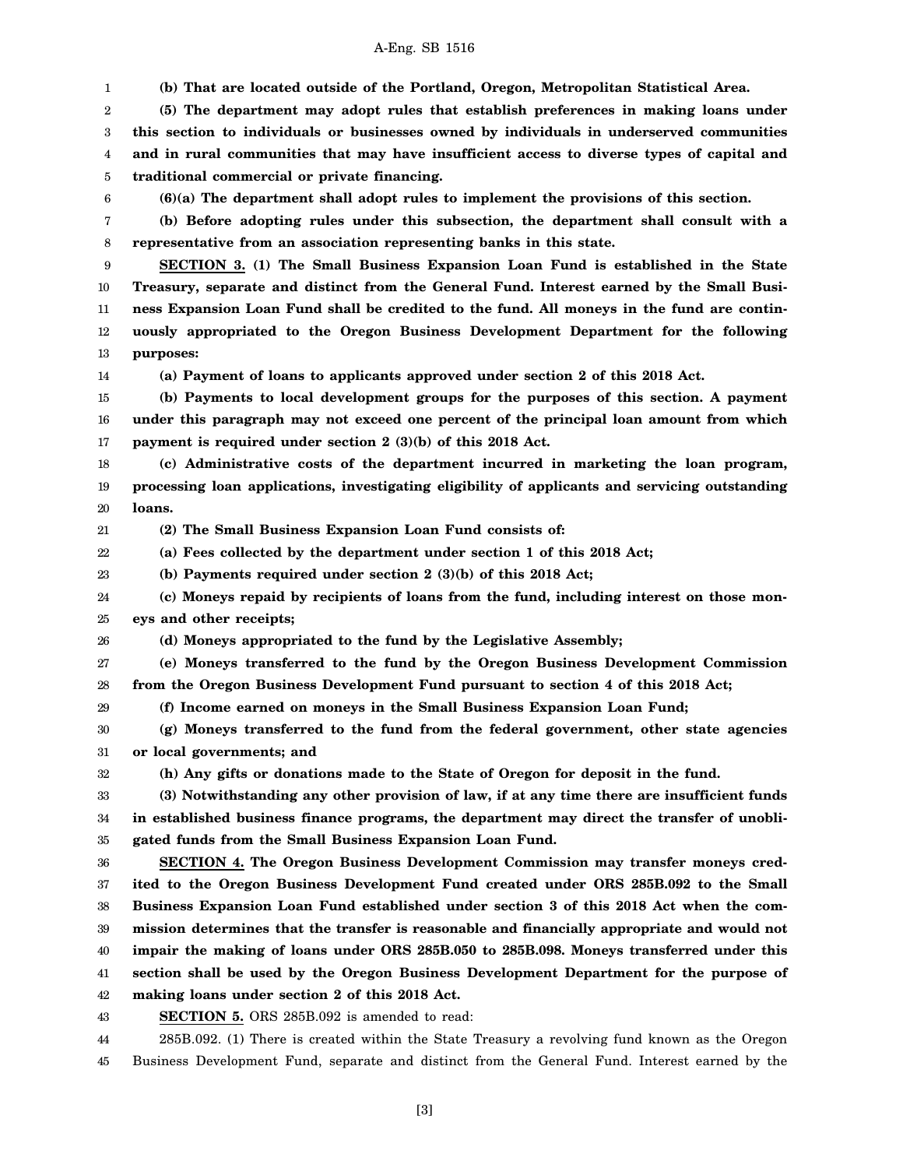**(b) That are located outside of the Portland, Oregon, Metropolitan Statistical Area.**

2 3 4 5 **(5) The department may adopt rules that establish preferences in making loans under this section to individuals or businesses owned by individuals in underserved communities and in rural communities that may have insufficient access to diverse types of capital and traditional commercial or private financing.**

6

1

**(6)(a) The department shall adopt rules to implement the provisions of this section.**

7 8 **(b) Before adopting rules under this subsection, the department shall consult with a representative from an association representing banks in this state.**

9 10 11 12 13 **SECTION 3. (1) The Small Business Expansion Loan Fund is established in the State Treasury, separate and distinct from the General Fund. Interest earned by the Small Business Expansion Loan Fund shall be credited to the fund. All moneys in the fund are continuously appropriated to the Oregon Business Development Department for the following purposes:**

14

29

32

**(a) Payment of loans to applicants approved under section 2 of this 2018 Act.**

15 16 17 **(b) Payments to local development groups for the purposes of this section. A payment under this paragraph may not exceed one percent of the principal loan amount from which payment is required under section 2 (3)(b) of this 2018 Act.**

18 19 20 **(c) Administrative costs of the department incurred in marketing the loan program, processing loan applications, investigating eligibility of applicants and servicing outstanding loans.**

21 **(2) The Small Business Expansion Loan Fund consists of:**

22 **(a) Fees collected by the department under section 1 of this 2018 Act;**

23 **(b) Payments required under section 2 (3)(b) of this 2018 Act;**

24 25 **(c) Moneys repaid by recipients of loans from the fund, including interest on those moneys and other receipts;**

26 **(d) Moneys appropriated to the fund by the Legislative Assembly;**

27 28 **(e) Moneys transferred to the fund by the Oregon Business Development Commission from the Oregon Business Development Fund pursuant to section 4 of this 2018 Act;**

**(f) Income earned on moneys in the Small Business Expansion Loan Fund;**

30 31 **(g) Moneys transferred to the fund from the federal government, other state agencies or local governments; and**

**(h) Any gifts or donations made to the State of Oregon for deposit in the fund.**

33 34 35 **(3) Notwithstanding any other provision of law, if at any time there are insufficient funds in established business finance programs, the department may direct the transfer of unobligated funds from the Small Business Expansion Loan Fund.**

36 37 38 39 40 41 42 **SECTION 4. The Oregon Business Development Commission may transfer moneys credited to the Oregon Business Development Fund created under ORS 285B.092 to the Small Business Expansion Loan Fund established under section 3 of this 2018 Act when the commission determines that the transfer is reasonable and financially appropriate and would not impair the making of loans under ORS 285B.050 to 285B.098. Moneys transferred under this section shall be used by the Oregon Business Development Department for the purpose of making loans under section 2 of this 2018 Act.**

43 **SECTION 5.** ORS 285B.092 is amended to read:

44 285B.092. (1) There is created within the State Treasury a revolving fund known as the Oregon

45 Business Development Fund, separate and distinct from the General Fund. Interest earned by the